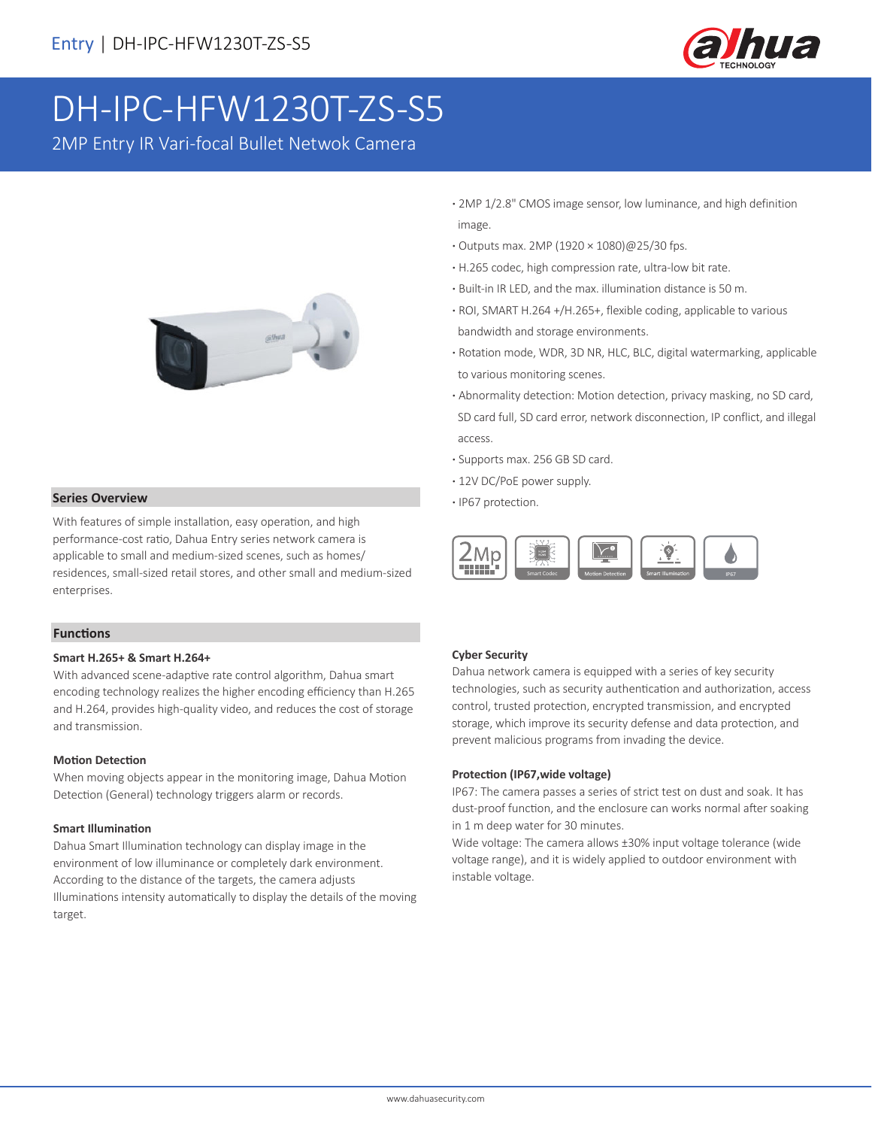

# DH-IPC-HFW1230T-ZS-S5

2MP Entry IR Vari-focal Bullet Netwok Camera



**· Series Overview · <b>IP67** protection.

With features of simple installation, easy operation, and high performance-cost ratio, Dahua Entry series network camera is applicable to small and medium-sized scenes, such as homes/ residences, small-sized retail stores, and other small and medium-sized enterprises.

### **Functions**

### **Smart H.265+ & Smart H.264+**

With advanced scene-adaptive rate control algorithm, Dahua smart encoding technology realizes the higher encoding efficiency than H.265 and H.264, provides high-quality video, and reduces the cost of storage and transmission.

### **Motion Detection**

When moving objects appear in the monitoring image, Dahua Motion Detection (General) technology triggers alarm or records.

### **Smart Illumination**

Dahua Smart Illumination technology can display image in the environment of low illuminance or completely dark environment. According to the distance of the targets, the camera adjusts Illuminations intensity automatically to display the details of the moving target.

- **·** 2MP 1/2.8" CMOS image sensor, low luminance, and high definition image.
- **·** Outputs max. 2MP (1920 × 1080)@25/30 fps.
- **·** H.265 codec, high compression rate, ultra-low bit rate.
- **·** Built-in IR LED, and the max. illumination distance is 50 m.
- **·** ROI, SMART H.264 +/H.265+, flexible coding, applicable to various bandwidth and storage environments.
- **·** Rotation mode, WDR, 3D NR, HLC, BLC, digital watermarking, applicable to various monitoring scenes.
- **·** Abnormality detection: Motion detection, privacy masking, no SD card, SD card full, SD card error, network disconnection, IP conflict, and illegal access.
- **·** Supports max. 256 GB SD card.
- **·** 12V DC/PoE power supply.
- 



### **Cyber Security**

Dahua network camera is equipped with a series of key security technologies, such as security authentication and authorization, access control, trusted protection, encrypted transmission, and encrypted storage, which improve its security defense and data protection, and prevent malicious programs from invading the device.

### **Protection (IP67,wide voltage)**

IP67: The camera passes a series of strict test on dust and soak. It has dust-proof function, and the enclosure can works normal after soaking in 1 m deep water for 30 minutes.

Wide voltage: The camera allows ±30% input voltage tolerance (wide voltage range), and it is widely applied to outdoor environment with instable voltage.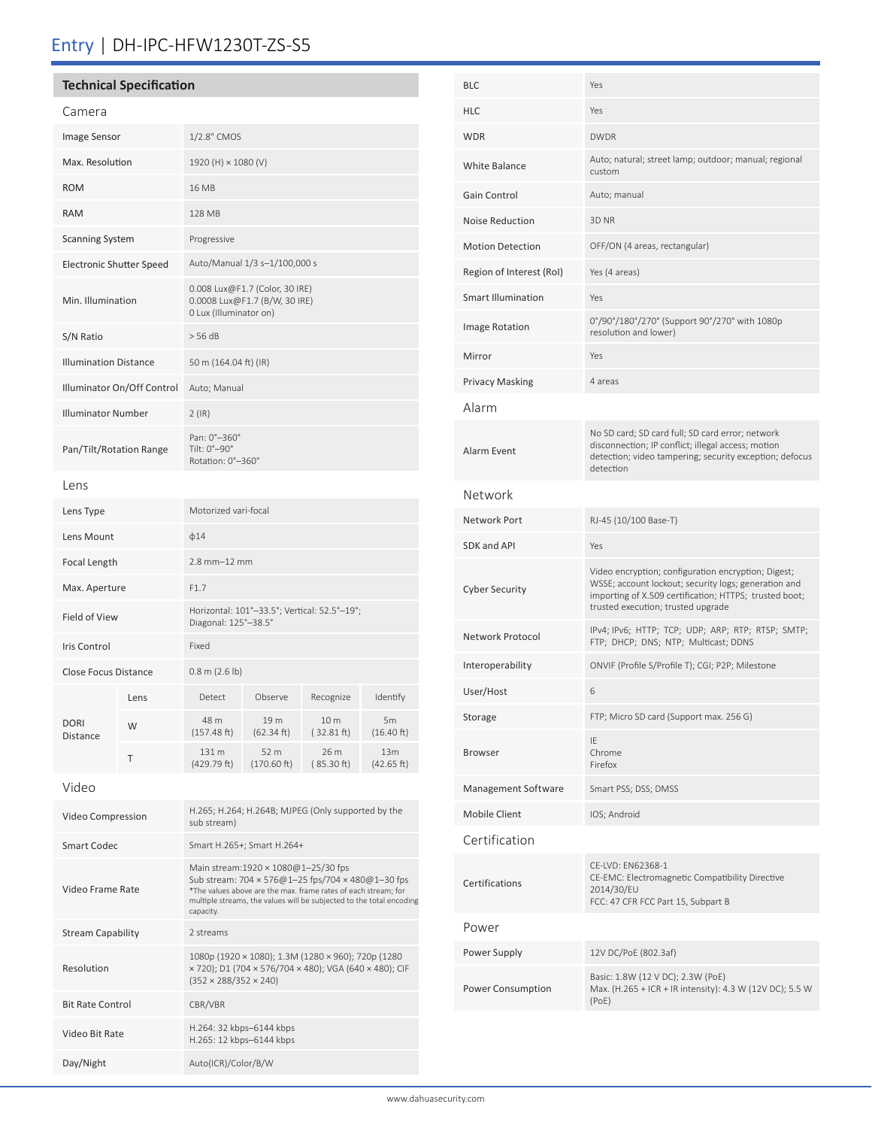## Entry | DH-IPC-HFW1230T-ZS-S5

### **Technical Specification** Camera Image Sensor 1/2.8" CMOS Max. Resolution  $1920 (H) \times 1080 (V)$ ROM 16 MB RAM 128 MB Scanning System Progressive Electronic Shutter Speed Auto/Manual 1/3 s–1/100,000 s Min. Illumination 0.008 Lux@F1.7 (Color, 30 IRE) 0.0008 Lux@F1.7 (B/W, 30 IRE) 0 Lux (Illuminator on) S/N Ratio  $>$  56 dB Illumination Distance 50 m (164.04 ft) (IR) Illuminator On/Off Control Auto; Manual Illuminator Number 2 (IR) Pan/Tilt/Rotation Range Pan: 0°–360° Tilt: 0°–90° Rotation: 0°–360° Lens Lens Type Motorized vari-focal Lens Mount  $φ14$ Focal Length 2.8 mm–12 mm Max. Aperture F1.7 Field of View Horizontal: 101°–33.5°; Vertical: 52.5°–19°; Diagonal: 125°–38.5° Iris Control Fixed Close Focus Distance 0.8 m (2.6 lb) DORI Distance Lens Detect Observe Recognize Identify W 48 m<br>(157.48 ft) 19 m (62.34 ft) 10 m ( 32.81 ft) 5m (16.40 ft)  $T = \frac{131 \text{ m}}{(420.70 \text{ f})}$ (429.79 ft) 52 m (170.60 ft) 26 m ( 85.30 ft) 13m (42.65 ft) Video Video Compression H.265; H.264; H.264B; MJPEG (Only supported by the sub stream) Smart Codec Smart H.265+; Smart H.264+ Video Frame Rate Main stream:1920 × 1080@1–25/30 fps Sub stream: 704 × 576@1–25 fps/704 × 480@1–30 fps \*The values above are the max. frame rates of each stream; for

multiple streams, the values will be subjected to the total encoding

1080p (1920 × 1080); 1.3M (1280 × 960); 720p (1280 × 720); D1 (704 × 576/704 × 480); VGA (640 × 480); CIF

capacity.

(352 × 288/352 × 240)

H.265: 12 kbps–6144 kbps

Stream Capability 2 streams

Bit Rate Control CBR/VBR

Video Bit Rate H.264: 32 kbps–6144 kbps

Day/Night Auto(ICR)/Color/B/W

Resolution

| <b>HLC</b>                | Yes                                                                                                                                                                                                         |
|---------------------------|-------------------------------------------------------------------------------------------------------------------------------------------------------------------------------------------------------------|
| <b>WDR</b>                | <b>DWDR</b>                                                                                                                                                                                                 |
| White Balance             | Auto; natural; street lamp; outdoor; manual; regional<br>custom                                                                                                                                             |
| Gain Control              | Auto; manual                                                                                                                                                                                                |
| <b>Noise Reduction</b>    | 3D NR                                                                                                                                                                                                       |
| <b>Motion Detection</b>   | OFF/ON (4 areas, rectangular)                                                                                                                                                                               |
| Region of Interest (RoI)  | Yes (4 areas)                                                                                                                                                                                               |
| <b>Smart Illumination</b> | Yes                                                                                                                                                                                                         |
| Image Rotation            | 0°/90°/180°/270° (Support 90°/270° with 1080p<br>resolution and lower)                                                                                                                                      |
| Mirror                    | Yes                                                                                                                                                                                                         |
| <b>Privacy Masking</b>    | 4 areas                                                                                                                                                                                                     |
| Alarm                     |                                                                                                                                                                                                             |
| Alarm Event               | No SD card; SD card full; SD card error; network<br>disconnection; IP conflict; illegal access; motion<br>detection; video tampering; security exception; defocus<br>detection                              |
| Network                   |                                                                                                                                                                                                             |
| Network Port              | RJ-45 (10/100 Base-T)                                                                                                                                                                                       |
| SDK and API               | Yes                                                                                                                                                                                                         |
| <b>Cyber Security</b>     | Video encryption; configuration encryption; Digest;<br>WSSE; account lockout; security logs; generation and<br>importing of X.509 certification; HTTPS; trusted boot;<br>trusted execution; trusted upgrade |
| Network Protocol          | IPv4; IPv6; HTTP; TCP; UDP; ARP; RTP; RTSP; SMTP;<br>FTP; DHCP; DNS; NTP; Multicast; DDNS                                                                                                                   |
| Interoperability          | ONVIF (Profile S/Profile T); CGI; P2P; Milestone                                                                                                                                                            |
| User/Host                 | 6                                                                                                                                                                                                           |
| Storage                   | FTP; Micro SD card (Support max. 256 G)                                                                                                                                                                     |
| Browser                   | IF<br>Chrome<br>Firefox                                                                                                                                                                                     |
| Management Software       | Smart PSS; DSS; DMSS                                                                                                                                                                                        |
| <b>Mobile Client</b>      | IOS; Android                                                                                                                                                                                                |
| Certification             |                                                                                                                                                                                                             |
| Certifications            | CE-LVD: EN62368-1<br>CE-EMC: Electromagnetic Compatibility Directive<br>2014/30/EU<br>FCC: 47 CFR FCC Part 15, Subpart B                                                                                    |
| Power                     |                                                                                                                                                                                                             |
| Power Supply              | 12V DC/PoE (802.3af)                                                                                                                                                                                        |
| Power Consumption         | Basic: 1.8W (12 V DC); 2.3W (PoE)<br>Max. (H.265 + ICR + IR intensity): 4.3 W (12V DC); 5.5 W<br>(PoE)                                                                                                      |

BLC Yes